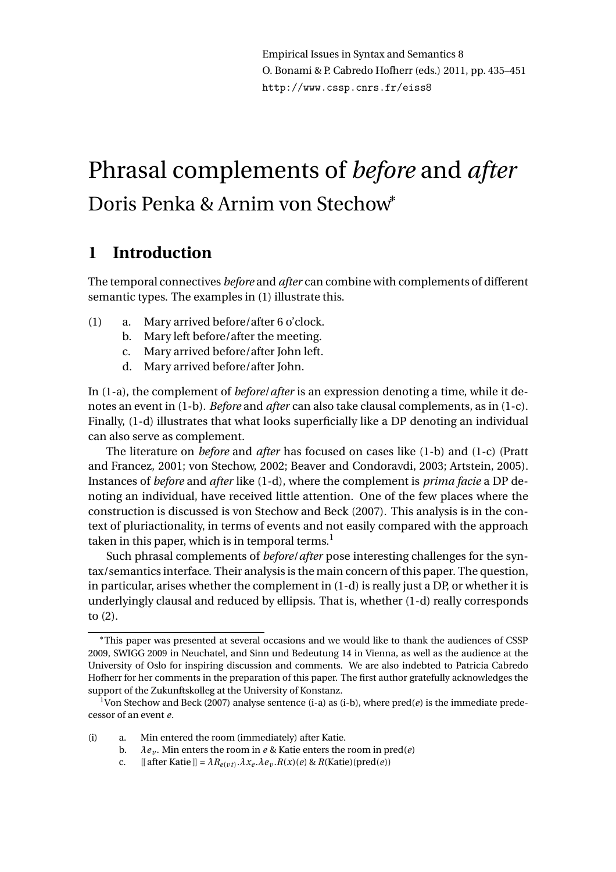Empirical Issues in Syntax and Semantics 8 O. Bonami & P. Cabredo Hofherr (eds.) 2011, pp. 435–451 http://www.cssp.cnrs.fr/eiss8

# Phrasal complements of *before* and *after* Doris Penka & Arnim von Stechow<sup>∗</sup>

# **1 Introduction**

The temporal connectives *before* and *after* can combine with complements of different semantic types. The examples in (1) illustrate this.

- (1) a. Mary arrived before/after 6 o'clock.
	- b. Mary left before/after the meeting.
	- c. Mary arrived before/after John left.
	- d. Mary arrived before/after John.

In (1-a), the complement of *before*/*after* is an expression denoting a time, while it denotes an event in (1-b). *Before* and *after* can also take clausal complements, as in (1-c). Finally, (1-d) illustrates that what looks superficially like a DP denoting an individual can also serve as complement.

The literature on *before* and *after* has focused on cases like (1-b) and (1-c) (Pratt and Francez, 2001; von Stechow, 2002; Beaver and Condoravdi, 2003; Artstein, 2005). Instances of *before* and *after* like (1-d), where the complement is *prima facie* a DP denoting an individual, have received little attention. One of the few places where the construction is discussed is von Stechow and Beck (2007). This analysis is in the context of pluriactionality, in terms of events and not easily compared with the approach taken in this paper, which is in temporal terms.<sup>1</sup>

Such phrasal complements of *before*/*after* pose interesting challenges for the syntax/semantics interface. Their analysis is the main concern of this paper. The question, in particular, arises whether the complement in (1-d) is really just a DP, or whether it is underlyingly clausal and reduced by ellipsis. That is, whether (1-d) really corresponds to (2).

- (i) a. Min entered the room (immediately) after Katie.
	- b.  $\lambda e_v$ . Min enters the room in *e* & Katie enters the room in pred(*e*)
	- c. [[ after Katie ]] =  $\lambda R_{e(\nu t)}.\lambda x_e.\lambda e_\nu.R(x)(e)$  &  $R(Katie)(pred(e))$

<sup>∗</sup>This paper was presented at several occasions and we would like to thank the audiences of CSSP 2009, SWIGG 2009 in Neuchatel, and Sinn und Bedeutung 14 in Vienna, as well as the audience at the University of Oslo for inspiring discussion and comments. We are also indebted to Patricia Cabredo Hofherr for her comments in the preparation of this paper. The first author gratefully acknowledges the support of the Zukunftskolleg at the University of Konstanz.

<sup>1</sup>Von Stechow and Beck (2007) analyse sentence (i-a) as (i-b), where pred(*e*) is the immediate predecessor of an event *e*.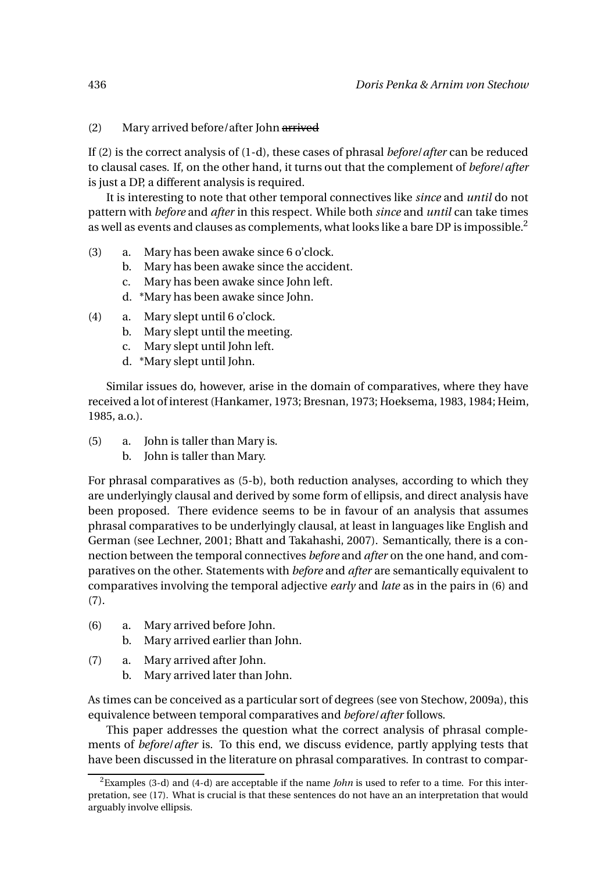#### (2) Mary arrived before/after John arrived

If (2) is the correct analysis of (1-d), these cases of phrasal *before*/*after* can be reduced to clausal cases. If, on the other hand, it turns out that the complement of *before*/*after* is just a DP, a different analysis is required.

It is interesting to note that other temporal connectives like *since* and *until* do not pattern with *before* and *after* in this respect. While both *since* and *until* can take times as well as events and clauses as complements, what looks like a bare DP is impossible.<sup>2</sup>

- (3) a. Mary has been awake since 6 o'clock.
	- b. Mary has been awake since the accident.
	- c. Mary has been awake since John left.
	- d. \*Mary has been awake since John.
- (4) a. Mary slept until 6 o'clock.
	- b. Mary slept until the meeting.
	- c. Mary slept until John left.
	- d. \*Mary slept until John.

Similar issues do, however, arise in the domain of comparatives, where they have received a lot of interest (Hankamer, 1973; Bresnan, 1973; Hoeksema, 1983, 1984; Heim, 1985, a.o.).

- (5) a. John is taller than Mary is.
	- b. John is taller than Mary.

For phrasal comparatives as (5-b), both reduction analyses, according to which they are underlyingly clausal and derived by some form of ellipsis, and direct analysis have been proposed. There evidence seems to be in favour of an analysis that assumes phrasal comparatives to be underlyingly clausal, at least in languages like English and German (see Lechner, 2001; Bhatt and Takahashi, 2007). Semantically, there is a connection between the temporal connectives *before* and *after* on the one hand, and comparatives on the other. Statements with *before* and *after* are semantically equivalent to comparatives involving the temporal adjective *early* and *late* as in the pairs in (6) and (7).

- (6) a. Mary arrived before John.
	- b. Mary arrived earlier than John.
- (7) a. Mary arrived after John.
	- b. Mary arrived later than John.

As times can be conceived as a particular sort of degrees (see von Stechow, 2009a), this equivalence between temporal comparatives and *before*/*after* follows.

This paper addresses the question what the correct analysis of phrasal complements of *before*/*after* is. To this end, we discuss evidence, partly applying tests that have been discussed in the literature on phrasal comparatives. In contrast to compar-

<sup>2</sup>Examples (3-d) and (4-d) are acceptable if the name *John* is used to refer to a time. For this interpretation, see (17). What is crucial is that these sentences do not have an an interpretation that would arguably involve ellipsis.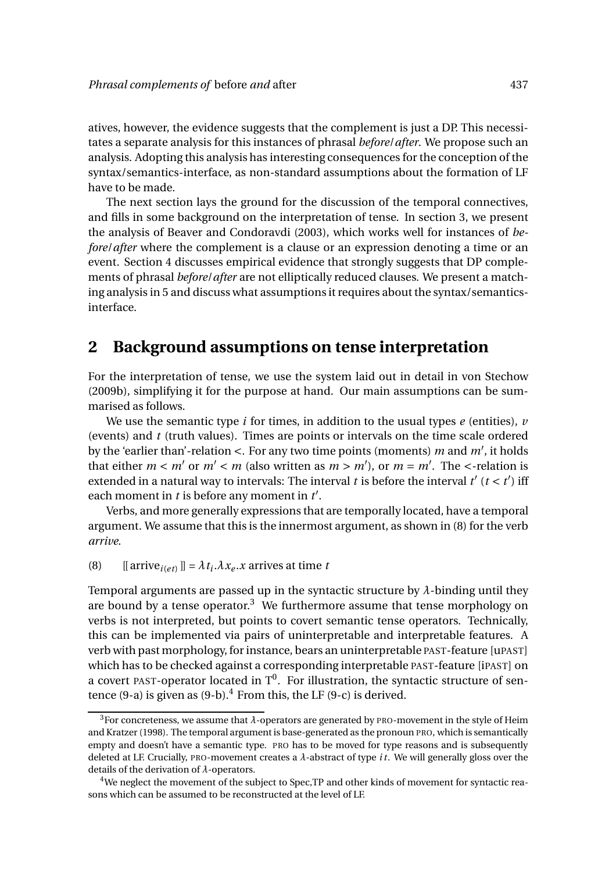atives, however, the evidence suggests that the complement is just a DP. This necessitates a separate analysis for this instances of phrasal *before*/*after*. We propose such an analysis. Adopting this analysis has interesting consequences for the conception of the syntax/semantics-interface, as non-standard assumptions about the formation of LF have to be made.

The next section lays the ground for the discussion of the temporal connectives, and fills in some background on the interpretation of tense. In section 3, we present the analysis of Beaver and Condoravdi (2003), which works well for instances of *before/after* where the complement is a clause or an expression denoting a time or an event. Section 4 discusses empirical evidence that strongly suggests that DP complements of phrasal *before*/*after* are not elliptically reduced clauses. We present a matching analysis in 5 and discuss what assumptions it requires about the syntax/semanticsinterface.

## **2 Background assumptions on tense interpretation**

For the interpretation of tense, we use the system laid out in detail in von Stechow (2009b), simplifying it for the purpose at hand. Our main assumptions can be summarised as follows.

We use the semantic type *i* for times, in addition to the usual types *e* (entities), *v* (events) and *t* (truth values). Times are points or intervals on the time scale ordered by the 'earlier than'-relation <. For any two time points (moments) *m* and *m*′ , it holds that either  $m < m'$  or  $m' < m$  (also written as  $m > m'$ ), or  $m = m'$ . The  $\lt$ -relation is extended in a natural way to intervals: The interval  $t$  is before the interval  $t'$  ( $t < t'$ ) iff each moment in *t* is before any moment in *t* ′ .

Verbs, and more generally expressions that are temporally located, have a temporal argument. We assume that this is the innermost argument, as shown in (8) for the verb *arrive*.

(8) [[ arrive<sub>*i*(*et*)</sub> ]] =  $\lambda t_i \lambda x_e \cdot x$  arrives at time *t* 

Temporal arguments are passed up in the syntactic structure by  $\lambda$ -binding until they are bound by a tense operator.<sup>3</sup> We furthermore assume that tense morphology on verbs is not interpreted, but points to covert semantic tense operators. Technically, this can be implemented via pairs of uninterpretable and interpretable features. A verb with past morphology, for instance, bears an uninterpretable PAST-feature [uPAST] which has to be checked against a corresponding interpretable PAST-feature [iPAST] on a covert PAST-operator located in  $T^0$ . For illustration, the syntactic structure of sentence  $(9-a)$  is given as  $(9-b)^4$ . From this, the LF  $(9-c)$  is derived.

<sup>3</sup>For concreteness, we assume that *λ*-operators are generated by PRO-movement in the style of Heim and Kratzer (1998). The temporal argument is base-generated as the pronoun PRO, which is semantically empty and doesn't have a semantic type. PRO has to be moved for type reasons and is subsequently deleted at LF. Crucially, PRO-movement creates a *λ*-abstract of type *i t*. We will generally gloss over the details of the derivation of *λ*-operators.

<sup>4</sup>We neglect the movement of the subject to Spec,TP and other kinds of movement for syntactic reasons which can be assumed to be reconstructed at the level of LF.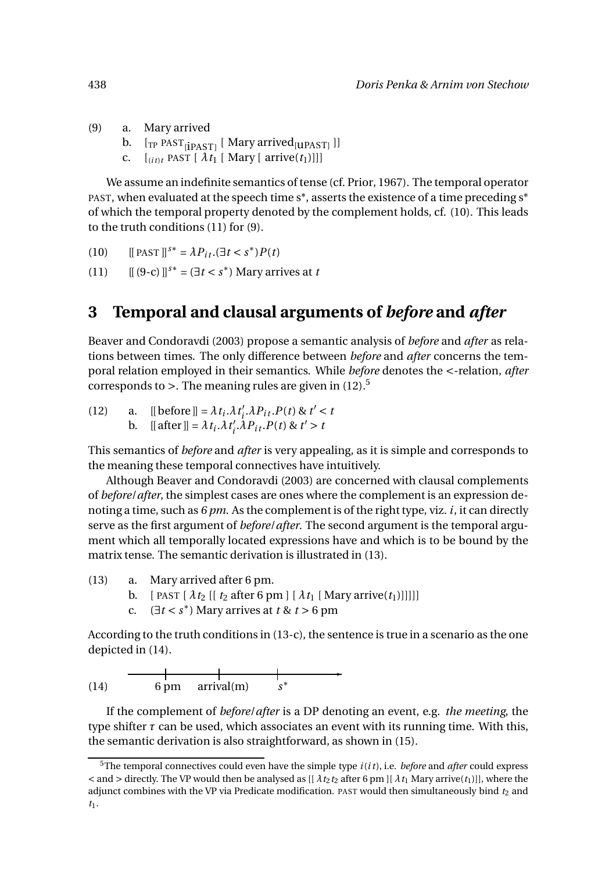- (9) a. Mary arrived
	- b. [<sub>TP</sub> PAST<sub>[İPAST]</sub> [ Mary arrived<sub>[UPAST]</sub> ]]
	- c.  $[i_{it}t]$  PAST  $[\lambda t_1]$  [Mary [ arrive $(t_1)$ ]]]

We assume an indefinite semantics of tense (cf. Prior, 1967). The temporal operator PAST, when evaluated at the speech time s\*, asserts the existence of a time preceding s\* of which the temporal property denoted by the complement holds, cf. (10). This leads to the truth conditions (11) for (9).

- (10)  $[[$  PAST  $]]^{s*} = \lambda P_{it}.(\exists t < s^*) P(t)$
- (11)  $[[ (9-c) ]]^{s*} = (\exists t < s^*)$  Mary arrives at *t*

# **3 Temporal and clausal arguments of** *before* **and** *after*

Beaver and Condoravdi (2003) propose a semantic analysis of *before* and *after* as relations between times. The only difference between *before* and *after* concerns the temporal relation employed in their semantics. While *before* denotes the <-relation, *after* corresponds to  $>$ . The meaning rules are given in (12).<sup>5</sup>

(12) a. [[ before ]] =  $\lambda t_i \cdot \lambda t'_i$  $i<sub>i</sub>$ . $\lambda P_{it}$ . $P(t)$  &  $t' < t$ b. [[ after ]] =  $\lambda t_i \cdot \lambda t'_i$  $\int_{i}^{t}$ ,  $\lambda P_{it}$ ,  $P(t)$  &  $t' > t$ 

This semantics of *before* and *after* is very appealing, as it is simple and corresponds to the meaning these temporal connectives have intuitively.

Although Beaver and Condoravdi (2003) are concerned with clausal complements of *before*/*after*, the simplest cases are ones where the complement is an expression denoting a time, such as *6 pm*. As the complement is of the right type, viz. *i*, it can directly serve as the first argument of *before*/*after*. The second argument is the temporal argument which all temporally located expressions have and which is to be bound by the matrix tense. The semantic derivation is illustrated in (13).

- (13) a. Mary arrived after 6 pm.
	- b. [ PAST  $\lceil \lambda t_2 \rceil$   $t_2$  after 6 pm  $\lceil \lambda t_1 \rceil$  Mary arrive $(t_1)$ ]]]]]
	- c.  $(\exists t < s^*)$  Mary arrives at  $t \& t > 6$  pm

According to the truth conditions in (13-c), the sentence is true in a scenario as the one depicted in (14).

$$
(14) \t\t 6 pm \t arrival(m) \t s*
$$

If the complement of *before*/*after* is a DP denoting an event, e.g. *the meeting*, the type shifter  $\tau$  can be used, which associates an event with its running time. With this, the semantic derivation is also straightforward, as shown in (15).

<sup>5</sup>The temporal connectives could even have the simple type *i*(*i t*), i.e. *before* and *after* could express  $\leq$  and  $>$  directly. The VP would then be analysed as [[ $\lambda t_2 t_2$  after 6 pm ][ $\lambda t_1$  Mary arrive( $t_1$ )]], where the adjunct combines with the VP via Predicate modification. PAST would then simultaneously bind  $t_2$  and *t*1.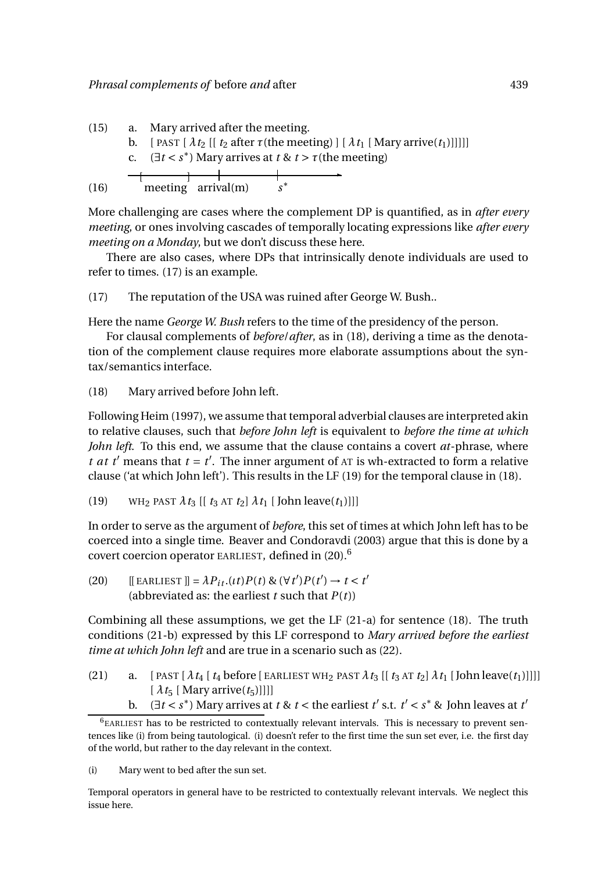

More challenging are cases where the complement DP is quantified, as in *after every meeting*, or ones involving cascades of temporally locating expressions like *after every meeting on a Monday*, but we don't discuss these here.

There are also cases, where DPs that intrinsically denote individuals are used to refer to times. (17) is an example.

(17) The reputation of the USA was ruined after George W. Bush..

Here the name *George W. Bush* refers to the time of the presidency of the person.

For clausal complements of *before*/*after*, as in (18), deriving a time as the denotation of the complement clause requires more elaborate assumptions about the syntax/semantics interface.

(18) Mary arrived before John left.

Following Heim (1997), we assume that temporal adverbial clauses are interpreted akin to relative clauses, such that *before John left* is equivalent to *before the time at which John left*. To this end, we assume that the clause contains a covert *at*-phrase, where *t at t'* means that  $t = t'$ . The inner argument of  $AT$  is wh-extracted to form a relative clause ('at which John left'). This results in the LF (19) for the temporal clause in (18).

(19) WH<sub>2</sub> PAST  $\lambda t_3$  [[  $t_3$  AT  $t_2$ ]  $\lambda t_1$  [ John leave( $t_1$ )]]]

In order to serve as the argument of *before*, this set of times at which John left has to be coerced into a single time. Beaver and Condoravdi (2003) argue that this is done by a covert coercion operator EARLIEST, defined in (20).<sup>6</sup>

(20)  $[[EARLIEST]] = \lambda P_{it}.(it) P(t) \& (\forall t') P(t') \rightarrow t < t'$ (abbreviated as: the earliest *t* such that *P*(*t*))

Combining all these assumptions, we get the LF (21-a) for sentence (18). The truth conditions (21-b) expressed by this LF correspond to *Mary arrived before the earliest time at which John left* and are true in a scenario such as (22).

- (21) a. [ PAST  $\lceil \lambda t_4 \rceil t_4$  before [ EARLIEST WH<sub>2</sub> PAST  $\lambda t_3$  [  $\lceil t_3 \text{ AT } t_2 \rceil \lambda t_1$  [ John leave(*t*<sub>1</sub>)]]]]  $\left[ \lambda t_5 \right]$  [ Mary arrive( $t_5$ )]]]]
	- b.  $(\exists t < s^*)$  Mary arrives at  $t \& t <$  the earliest  $t'$  s.t.  $t' < s^*$  & John leaves at  $t'$

 $6$ EARLIEST has to be restricted to contextually relevant intervals. This is necessary to prevent sentences like (i) from being tautological. (i) doesn't refer to the first time the sun set ever, i.e. the first day of the world, but rather to the day relevant in the context.

<sup>(</sup>i) Mary went to bed after the sun set.

Temporal operators in general have to be restricted to contextually relevant intervals. We neglect this issue here.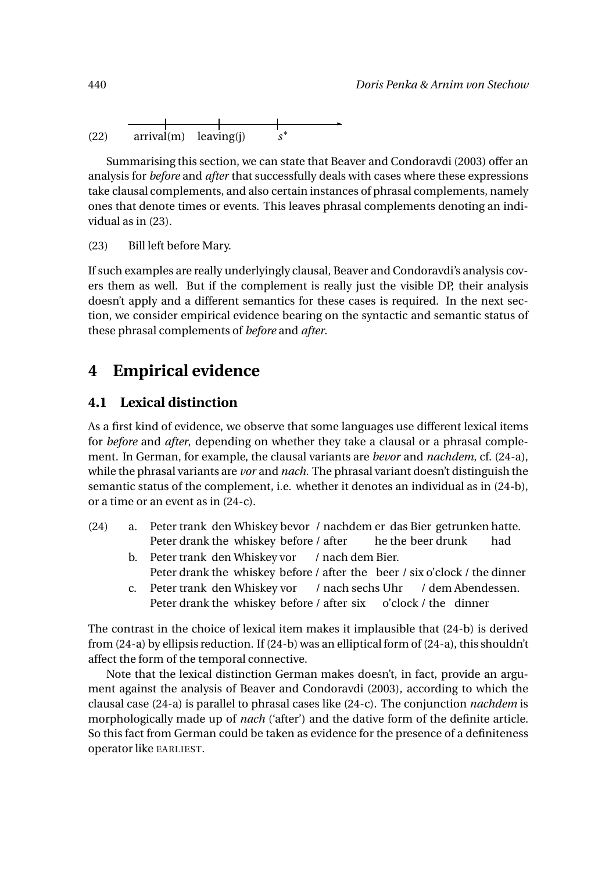$$
(22) \quad \frac{\longrightarrow}{\text{arrival(m)} \quad \text{leaving(j)} \quad s^*}
$$

Summarising this section, we can state that Beaver and Condoravdi (2003) offer an analysis for *before* and *after* that successfully deals with cases where these expressions take clausal complements, and also certain instances of phrasal complements, namely ones that denote times or events. This leaves phrasal complements denoting an individual as in (23).

(23) Bill left before Mary.

If such examples are really underlyingly clausal, Beaver and Condoravdi's analysis covers them as well. But if the complement is really just the visible DP, their analysis doesn't apply and a different semantics for these cases is required. In the next section, we consider empirical evidence bearing on the syntactic and semantic status of these phrasal complements of *before* and *after*.

## **4 Empirical evidence**

#### **4.1 Lexical distinction**

As a first kind of evidence, we observe that some languages use different lexical items for *before* and *after*, depending on whether they take a clausal or a phrasal complement. In German, for example, the clausal variants are *bevor* and *nachdem*, cf. (24-a), while the phrasal variants are *vor* and *nach*. The phrasal variant doesn't distinguish the semantic status of the complement, i.e. whether it denotes an individual as in (24-b), or a time or an event as in (24-c).

- (24) a. Peter trank den Whiskey bevor / nachdem er das Bier getrunken hatte. Peter drank the whiskey before / after he the beer drunk had
	- b. Peter trank den Whiskey vor Peter drank the whiskey before / after the \beer / six o'clock / the dinner / nach dem Bier.
	- c. Peter trank den Whiskey vor Peter drank the whiskey before / after six / nach sechs Uhr o'clock / the dinner / dem Abendessen.

The contrast in the choice of lexical item makes it implausible that (24-b) is derived from (24-a) by ellipsis reduction. If (24-b) was an elliptical form of (24-a), this shouldn't affect the form of the temporal connective.

Note that the lexical distinction German makes doesn't, in fact, provide an argument against the analysis of Beaver and Condoravdi (2003), according to which the clausal case (24-a) is parallel to phrasal cases like (24-c). The conjunction *nachdem* is morphologically made up of *nach* ('after') and the dative form of the definite article. So this fact from German could be taken as evidence for the presence of a definiteness operator like EARLIEST.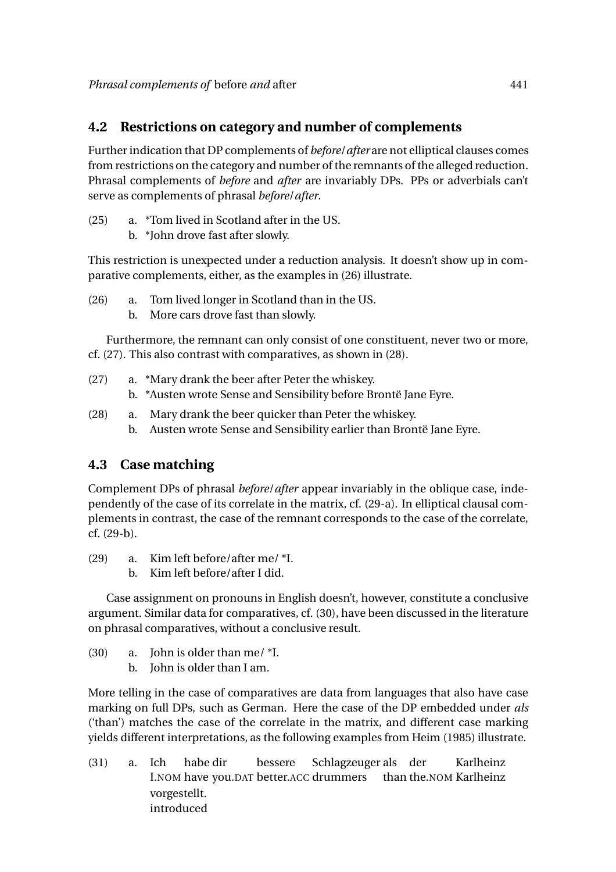#### **4.2 Restrictions on category and number of complements**

Further indication that DP complements of *before*/*after* are not elliptical clauses comes from restrictions on the category and number of the remnants of the alleged reduction. Phrasal complements of *before* and *after* are invariably DPs. PPs or adverbials can't serve as complements of phrasal *before*/*after*.

- (25) a. \*Tom lived in Scotland after in the US.
	- b. \*John drove fast after slowly.

This restriction is unexpected under a reduction analysis. It doesn't show up in comparative complements, either, as the examples in (26) illustrate.

- (26) a. Tom lived longer in Scotland than in the US.
	- b. More cars drove fast than slowly.

Furthermore, the remnant can only consist of one constituent, never two or more, cf. (27). This also contrast with comparatives, as shown in (28).

- (27) a. \*Mary drank the beer after Peter the whiskey. b. \*Austen wrote Sense and Sensibility before Brontë Jane Eyre.
- (28) a. Mary drank the beer quicker than Peter the whiskey. b. Austen wrote Sense and Sensibility earlier than Brontë Jane Eyre.

## **4.3 Case matching**

Complement DPs of phrasal *before*/*after* appear invariably in the oblique case, independently of the case of its correlate in the matrix, cf. (29-a). In elliptical clausal complements in contrast, the case of the remnant corresponds to the case of the correlate, cf. (29-b).

- (29) a. Kim left before/after me/ \*I.
	- b. Kim left before/after I did.

Case assignment on pronouns in English doesn't, however, constitute a conclusive argument. Similar data for comparatives, cf. (30), have been discussed in the literature on phrasal comparatives, without a conclusive result.

- (30) a. John is older than me/ \*I.
	- b. John is older than I am.

More telling in the case of comparatives are data from languages that also have case marking on full DPs, such as German. Here the case of the DP embedded under *als* ('than') matches the case of the correlate in the matrix, and different case marking yields different interpretations, as the following examples from Heim (1985) illustrate.

(31) a. Ich I.NOM have you.DAT better.ACC drummers habe dir bessere Schlagzeuger als der than the.NOM Karlheinz Karlheinz vorgestellt. introduced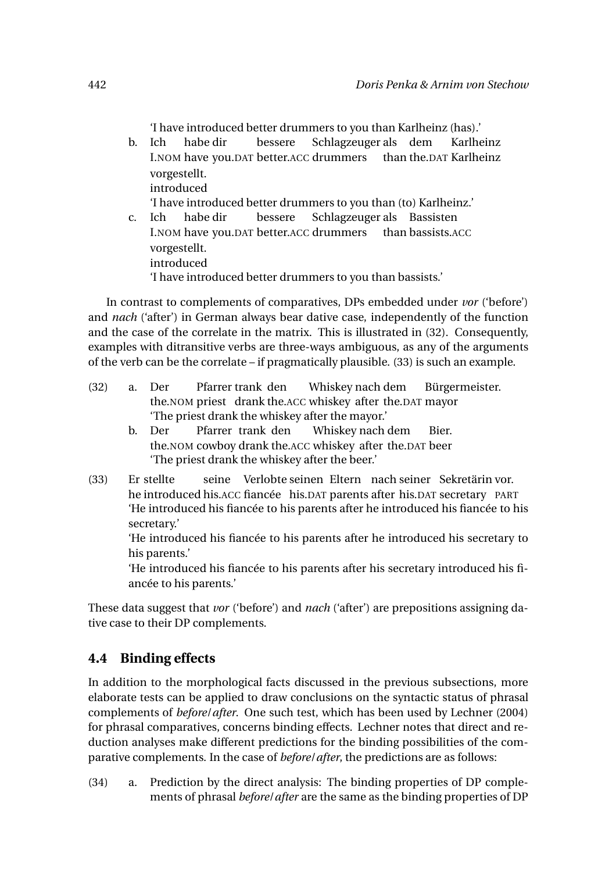'I have introduced better drummers to you than Karlheinz (has).'

- b. Ich I.NOM have you.DAT better.ACC drummers than the.DAT Karlheinz habe dir bessere Schlagzeuger als dem Karlheinz vorgestellt. introduced 'I have introduced better drummers to you than (to) Karlheinz.' c. Ich bessere
- I.NOM have you.DAT better.ACC drummers habe dir Schlagzeuger als Bassisten than bassists.ACC vorgestellt. introduced 'I have introduced better drummers to you than bassists.'

In contrast to complements of comparatives, DPs embedded under *vor* ('before') and *nach* ('after') in German always bear dative case, independently of the function and the case of the correlate in the matrix. This is illustrated in (32). Consequently, examples with ditransitive verbs are three-ways ambiguous, as any of the arguments of the verb can be the correlate – if pragmatically plausible. (33) is such an example.

- (32) a. Der the.NOM priest drank the.ACC whiskey after the.DAT mayor Pfarrer trank den Whiskey nach dem Bürgermeister. 'The priest drank the whiskey after the mayor.'
	- b. Der the.NOM cowboy drank the.ACC whiskey after the.DAT beer Pfarrer trank den Whiskey nach dem Bier. 'The priest drank the whiskey after the beer.'
- $(33)$ he introduced his.ACC fiancée his.DAT parents after his.DAT secretary PART Er stellte seine Verlobte seinen Eltern nach seiner Sekretärin vor. 'He introduced his fiancée to his parents after he introduced his fiancée to his secretary.'

'He introduced his fiancée to his parents after he introduced his secretary to his parents.'

'He introduced his fiancée to his parents after his secretary introduced his fiancée to his parents.'

These data suggest that *vor* ('before') and *nach* ('after') are prepositions assigning dative case to their DP complements.

## **4.4 Binding effects**

In addition to the morphological facts discussed in the previous subsections, more elaborate tests can be applied to draw conclusions on the syntactic status of phrasal complements of *before*/*after*. One such test, which has been used by Lechner (2004) for phrasal comparatives, concerns binding effects. Lechner notes that direct and reduction analyses make different predictions for the binding possibilities of the comparative complements. In the case of *before*/*after*, the predictions are as follows:

(34) a. Prediction by the direct analysis: The binding properties of DP complements of phrasal *before*/*after* are the same as the binding properties of DP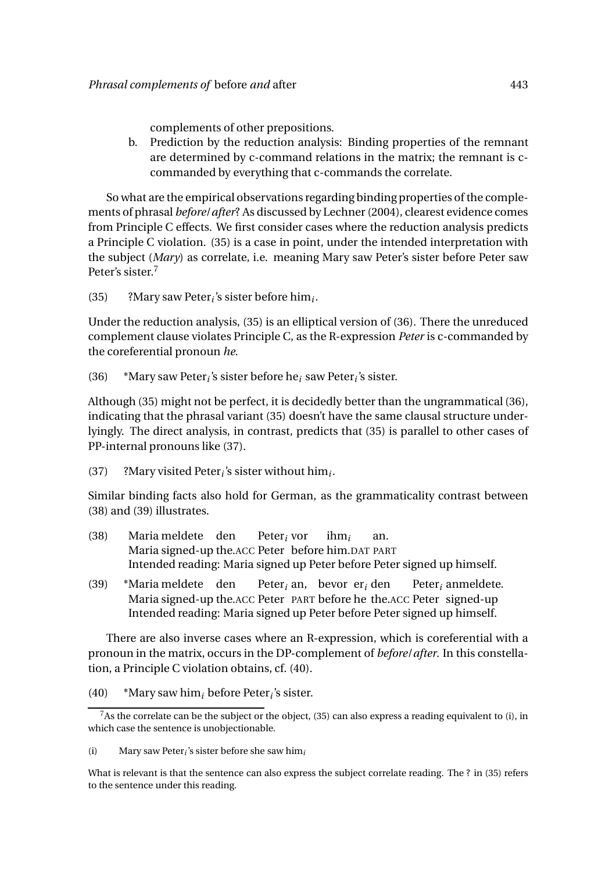complements of other prepositions.

b. Prediction by the reduction analysis: Binding properties of the remnant are determined by c-command relations in the matrix; the remnant is ccommanded by everything that c-commands the correlate.

So what are the empirical observations regarding binding properties of the complements of phrasal *before*/*after*? As discussed by Lechner (2004), clearest evidence comes from Principle C effects. We first consider cases where the reduction analysis predicts a Principle C violation. (35) is a case in point, under the intended interpretation with the subject (*Mary*) as correlate, i.e. meaning Mary saw Peter's sister before Peter saw Peter's sister.<sup>7</sup>

(35) ?Mary saw Peter*<sup>i</sup>* 's sister before him*<sup>i</sup>* .

Under the reduction analysis, (35) is an elliptical version of (36). There the unreduced complement clause violates Principle C, as the R-expression *Peter* is c-commanded by the coreferential pronoun *he*.

(36) \*Mary saw Peter*<sup>i</sup>* 's sister before he*<sup>i</sup>* saw Peter*<sup>i</sup>* 's sister.

Although (35) might not be perfect, it is decidedly better than the ungrammatical (36), indicating that the phrasal variant (35) doesn't have the same clausal structure underlyingly. The direct analysis, in contrast, predicts that (35) is parallel to other cases of PP-internal pronouns like (37).

(37) ?Mary visited Peter<sub>*i*</sub>'s sister without him<sub>*i*</sub>.

Similar binding facts also hold for German, as the grammaticality contrast between (38) and (39) illustrates.

- (38) Maria meldete den Maria signed-up the.ACC Peter before him.DAT PART Peter*<sup>i</sup>* vor ihm*<sup>i</sup>* an. Intended reading: Maria signed up Peter before Peter signed up himself.
- (39) \*Maria meldete den Maria signed-up the.ACC Peter PART before he the.ACC Peter signed-up Peter*<sup>i</sup>* an, bevor er*<sup>i</sup>* den Peter*<sup>i</sup>* anmeldete. Intended reading: Maria signed up Peter before Peter signed up himself.

There are also inverse cases where an R-expression, which is coreferential with a pronoun in the matrix, occurs in the DP-complement of *before*/*after*. In this constellation, a Principle C violation obtains, cf. (40).

(40) \*Mary saw him*<sup>i</sup>* before Peter*<sup>i</sup>* 's sister.

(i) Mary saw Peter*<sup>i</sup>* 's sister before she saw him*<sup>i</sup>*

What is relevant is that the sentence can also express the subject correlate reading. The ? in (35) refers to the sentence under this reading.

 $7$ As the correlate can be the subject or the object, (35) can also express a reading equivalent to (i), in which case the sentence is unobjectionable.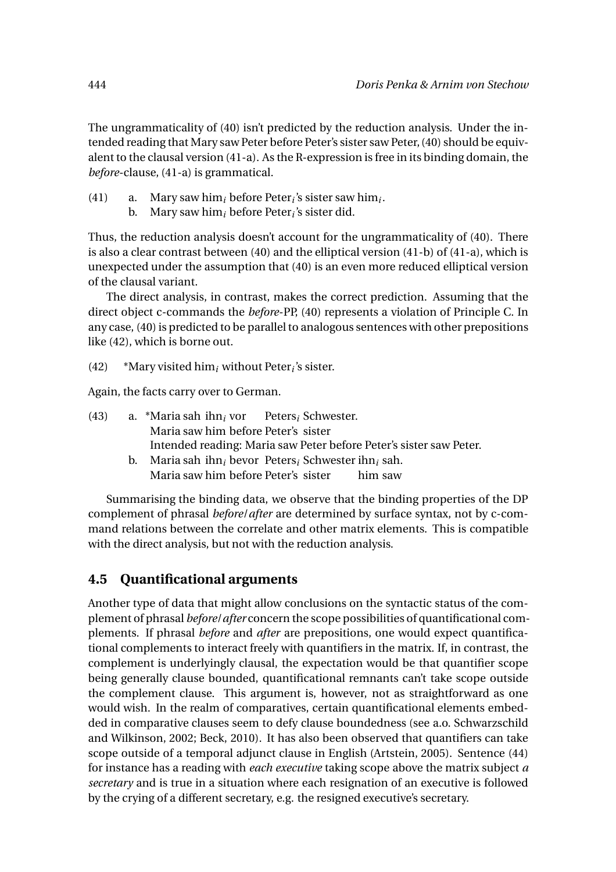The ungrammaticality of (40) isn't predicted by the reduction analysis. Under the intended reading that Mary saw Peter before Peter's sister saw Peter, (40) should be equivalent to the clausal version (41-a). As the R-expression is free in its binding domain, the *before*-clause, (41-a) is grammatical.

- (41) a. Mary saw him*<sup>i</sup>* before Peter*<sup>i</sup>* 's sister saw him*<sup>i</sup>* .
	- b. Mary saw him*<sup>i</sup>* before Peter*<sup>i</sup>* 's sister did.

Thus, the reduction analysis doesn't account for the ungrammaticality of (40). There is also a clear contrast between (40) and the elliptical version (41-b) of (41-a), which is unexpected under the assumption that (40) is an even more reduced elliptical version of the clausal variant.

The direct analysis, in contrast, makes the correct prediction. Assuming that the direct object c-commands the *before*-PP, (40) represents a violation of Principle C. In any case, (40) is predicted to be parallel to analogous sentences with other prepositions like (42), which is borne out.

(42)  $*$ Mary visited him<sub>*i*</sub> without Peter<sub>*i*</sub>'s sister.

Again, the facts carry over to German.

| (43) |             | a. *Maria sah ihn, vor Peters, Schwester.        |  |                                                                    |
|------|-------------|--------------------------------------------------|--|--------------------------------------------------------------------|
|      |             | Maria saw him before Peter's sister              |  |                                                                    |
|      |             |                                                  |  | Intended reading: Maria saw Peter before Peter's sister saw Peter. |
|      | $h_{\cdot}$ | Maria sah ihn, bevor Peters, Schwester ihn, sah. |  |                                                                    |
|      |             | Maria saw him before Peter's sister              |  | him saw                                                            |

Summarising the binding data, we observe that the binding properties of the DP complement of phrasal *before*/*after* are determined by surface syntax, not by c-command relations between the correlate and other matrix elements. This is compatible with the direct analysis, but not with the reduction analysis.

## **4.5 Quantificational arguments**

Another type of data that might allow conclusions on the syntactic status of the complement of phrasal *before*/*after* concern the scope possibilities of quantificational complements. If phrasal *before* and *after* are prepositions, one would expect quantificational complements to interact freely with quantifiers in the matrix. If, in contrast, the complement is underlyingly clausal, the expectation would be that quantifier scope being generally clause bounded, quantificational remnants can't take scope outside the complement clause. This argument is, however, not as straightforward as one would wish. In the realm of comparatives, certain quantificational elements embedded in comparative clauses seem to defy clause boundedness (see a.o. Schwarzschild and Wilkinson, 2002; Beck, 2010). It has also been observed that quantifiers can take scope outside of a temporal adjunct clause in English (Artstein, 2005). Sentence (44) for instance has a reading with *each executive* taking scope above the matrix subject *a secretary* and is true in a situation where each resignation of an executive is followed by the crying of a different secretary, e.g. the resigned executive's secretary.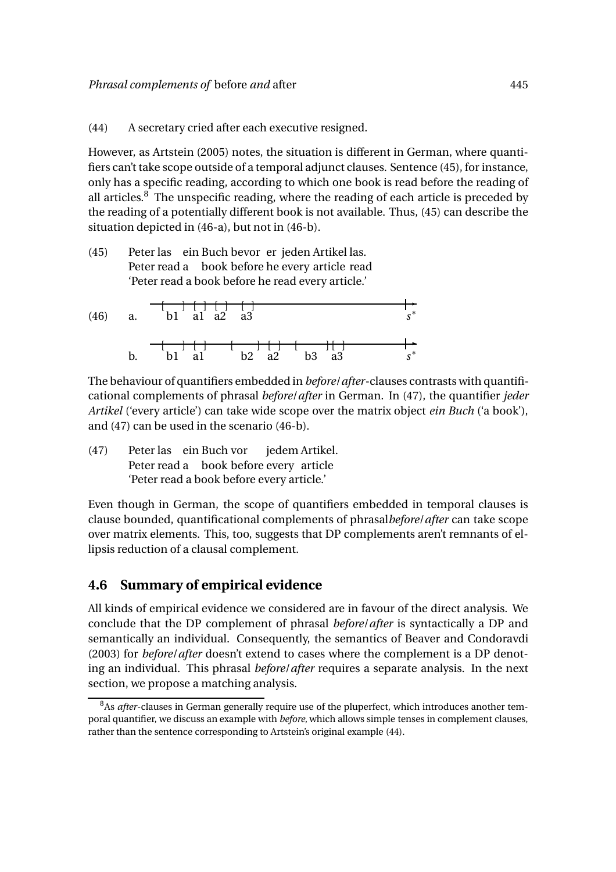(44) A secretary cried after each executive resigned.

However, as Artstein (2005) notes, the situation is different in German, where quantifiers can't take scope outside of a temporal adjunct clauses. Sentence (45), for instance, only has a specific reading, according to which one book is read before the reading of all articles. $8$  The unspecific reading, where the reading of each article is preceded by the reading of a potentially different book is not available. Thus, (45) can describe the situation depicted in (46-a), but not in (46-b).

(45) Peter las ein Buch bevor er jeden Artikel las. Peter read a book before he every article read 'Peter read a book before he read every article.'

(46) a. b1 a1 a2 a3 
$$
s^*
$$
  
b. b1 a1 b2 a2 b3 a3  $s^*$ 

The behaviour of quantifiers embedded in *before*/*after*-clauses contrasts with quantificational complements of phrasal *before*/*after* in German. In (47), the quantifier *jeder Artikel* ('every article') can take wide scope over the matrix object *ein Buch* ('a book'), and (47) can be used in the scenario (46-b).

(47) Peter las ein Buch vor Peter read a book before every article jedem Artikel. 'Peter read a book before every article.'

Even though in German, the scope of quantifiers embedded in temporal clauses is clause bounded, quantificational complements of phrasal*before*/*after* can take scope over matrix elements. This, too, suggests that DP complements aren't remnants of ellipsis reduction of a clausal complement.

#### **4.6 Summary of empirical evidence**

All kinds of empirical evidence we considered are in favour of the direct analysis. We conclude that the DP complement of phrasal *before*/*after* is syntactically a DP and semantically an individual. Consequently, the semantics of Beaver and Condoravdi (2003) for *before*/*after* doesn't extend to cases where the complement is a DP denoting an individual. This phrasal *before*/*after* requires a separate analysis. In the next section, we propose a matching analysis.

<sup>&</sup>lt;sup>8</sup>As *after*-clauses in German generally require use of the pluperfect, which introduces another temporal quantifier, we discuss an example with *before*, which allows simple tenses in complement clauses, rather than the sentence corresponding to Artstein's original example (44).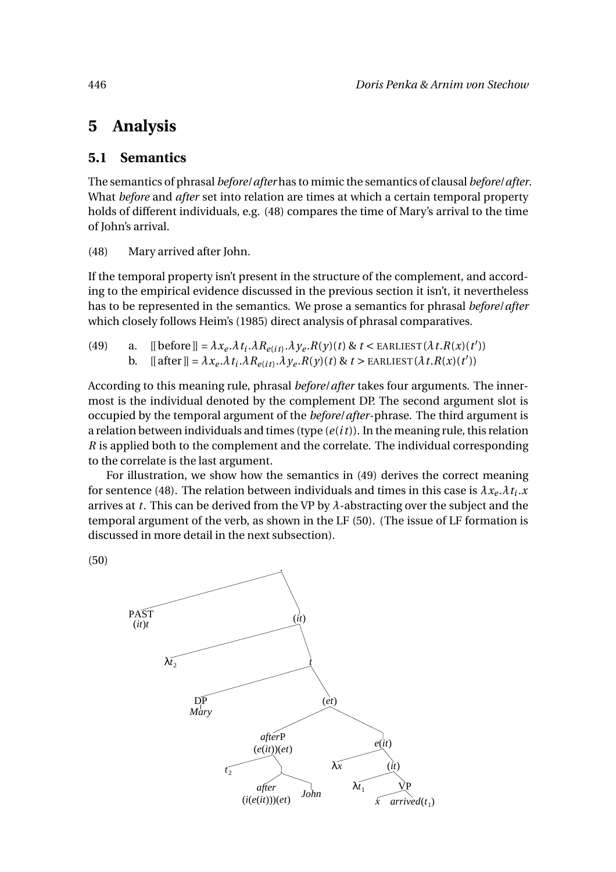# **5 Analysis**

#### **5.1 Semantics**

The semantics of phrasal *before*/*after* has to mimic the semantics of clausal *before*/*after*. What *before* and *after* set into relation are times at which a certain temporal property holds of different individuals, e.g. (48) compares the time of Mary's arrival to the time of John's arrival.

(48) Mary arrived after John.

If the temporal property isn't present in the structure of the complement, and according to the empirical evidence discussed in the previous section it isn't, it nevertheless has to be represented in the semantics. We prose a semantics for phrasal *before*/*after* which closely follows Heim's (1985) direct analysis of phrasal comparatives.

| (49) | a. [[before]] = $\lambda x_e \lambda t_i \lambda R_{e(it)} \lambda y_e R(y)(t)$ & $t <$ EARLIEST $(\lambda t.R(x)(t'))$           |
|------|-----------------------------------------------------------------------------------------------------------------------------------|
|      | b. $[[ \text{after}]] = \lambda x_e \lambda t_i \lambda R_{e(it)} \lambda y_e R(y)(t) \& t > \text{EARLIEST}(\lambda t R(x)(t'))$ |

According to this meaning rule, phrasal *before*/*after* takes four arguments. The innermost is the individual denoted by the complement DP. The second argument slot is occupied by the temporal argument of the *before*/*after*-phrase. The third argument is a relation between individuals and times (type (*e*(*i t*)). In the meaning rule, this relation *R* is applied both to the complement and the correlate. The individual corresponding to the correlate is the last argument.

For illustration, we show how the semantics in (49) derives the correct meaning for sentence (48). The relation between individuals and times in this case is  $\lambda x_e \cdot \lambda t_i \cdot x_e$ arrives at *t*. This can be derived from the VP by *λ*-abstracting over the subject and the temporal argument of the verb, as shown in the LF (50). (The issue of LF formation is discussed in more detail in the next subsection).

(50)

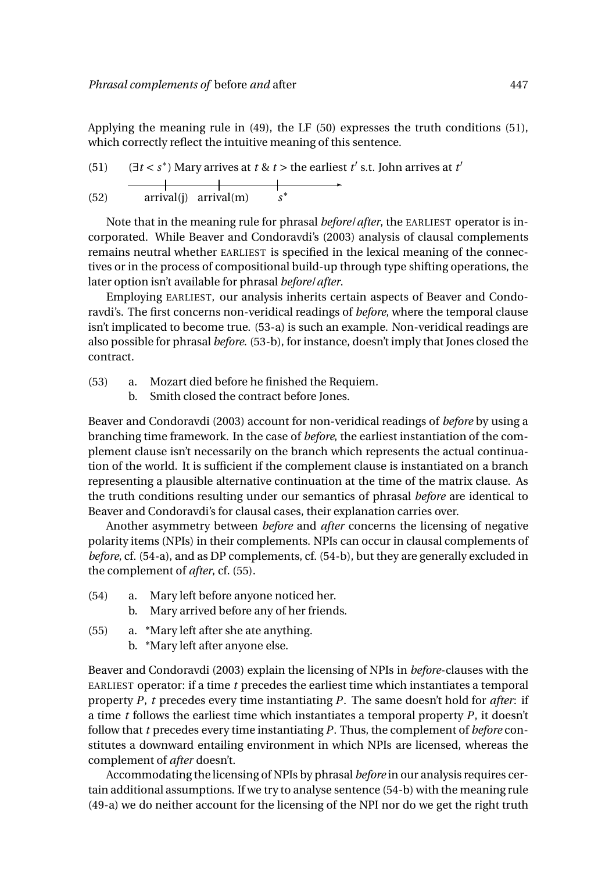Applying the meaning rule in (49), the LF (50) expresses the truth conditions (51), which correctly reflect the intuitive meaning of this sentence.

(51) 
$$
(\exists t < s^*) \text{ Mary arrives at } t \& t > \text{ the earliest } t' \text{ s.t. John arrives at } t'
$$
\n
$$
(52) \quad \text{arrival(j) arrival(m)} \quad s^*
$$

Note that in the meaning rule for phrasal *before*/*after*, the EARLIEST operator is incorporated. While Beaver and Condoravdi's (2003) analysis of clausal complements remains neutral whether EARLIEST is specified in the lexical meaning of the connectives or in the process of compositional build-up through type shifting operations, the later option isn't available for phrasal *before*/*after*.

Employing EARLIEST, our analysis inherits certain aspects of Beaver and Condoravdi's. The first concerns non-veridical readings of *before*, where the temporal clause isn't implicated to become true. (53-a) is such an example. Non-veridical readings are also possible for phrasal *before*. (53-b), for instance, doesn't imply that Jones closed the contract.

- (53) a. Mozart died before he finished the Requiem.
	- b. Smith closed the contract before Jones.

Beaver and Condoravdi (2003) account for non-veridical readings of *before* by using a branching time framework. In the case of *before*, the earliest instantiation of the complement clause isn't necessarily on the branch which represents the actual continuation of the world. It is sufficient if the complement clause is instantiated on a branch representing a plausible alternative continuation at the time of the matrix clause. As the truth conditions resulting under our semantics of phrasal *before* are identical to Beaver and Condoravdi's for clausal cases, their explanation carries over.

Another asymmetry between *before* and *after* concerns the licensing of negative polarity items (NPIs) in their complements. NPIs can occur in clausal complements of *before*, cf. (54-a), and as DP complements, cf. (54-b), but they are generally excluded in the complement of *after*, cf. (55).

- (54) a. Mary left before anyone noticed her.
	- b. Mary arrived before any of her friends.
- (55) a. \*Mary left after she ate anything.
	- b. \*Mary left after anyone else.

Beaver and Condoravdi (2003) explain the licensing of NPIs in *before*-clauses with the EARLIEST operator: if a time *t* precedes the earliest time which instantiates a temporal property *P*, *t* precedes every time instantiating *P*. The same doesn't hold for *after*: if a time *t* follows the earliest time which instantiates a temporal property *P*, it doesn't follow that *t* precedes every time instantiating *P*. Thus, the complement of *before* constitutes a downward entailing environment in which NPIs are licensed, whereas the complement of *after* doesn't.

Accommodating the licensing of NPIs by phrasal *before* in our analysis requires certain additional assumptions. If we try to analyse sentence (54-b) with the meaning rule (49-a) we do neither account for the licensing of the NPI nor do we get the right truth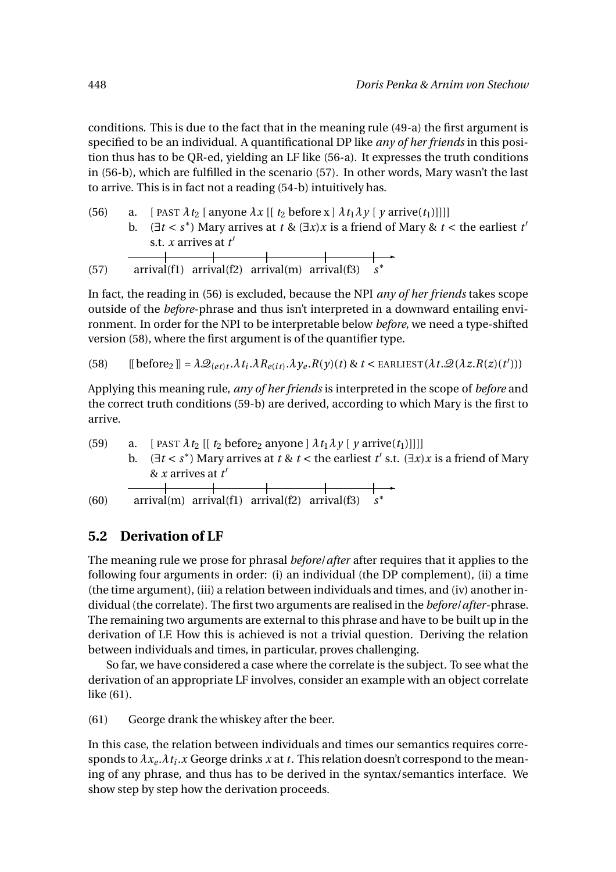conditions. This is due to the fact that in the meaning rule (49-a) the first argument is specified to be an individual. A quantificational DP like *any of her friends* in this position thus has to be QR-ed, yielding an LF like (56-a). It expresses the truth conditions in (56-b), which are fulfilled in the scenario (57). In other words, Mary wasn't the last to arrive. This is in fact not a reading (54-b) intuitively has.

- (56) a. [ PAST  $\lambda t_2$  [ anyone  $\lambda x$  [[  $t_2$  before x ]  $\lambda t_1 \lambda y$  [  $y$  arrive( $t_1$ )]]]]
	- b. ( $\exists t < s^*$ ) Mary arrives at  $t \& (\exists x) x$  is a friend of Mary &  $t <$  the earliest  $t'$ s.t. *x* arrives at *t* ′ and the company of the com-

$$
(57) \quad \text{arrival}(\text{f1}) \quad \text{arrival}(\text{f2}) \quad \text{arrival}(\text{m}) \quad \text{arrival}(\text{f3}) \quad s^*
$$

In fact, the reading in (56) is excluded, because the NPI *any of her friends* takes scope outside of the *before*-phrase and thus isn't interpreted in a downward entailing environment. In order for the NPI to be interpretable below *before*, we need a type-shifted version (58), where the first argument is of the quantifier type.

(58) 
$$
[[\text{before}_2]] = \lambda \mathcal{Q}_{(et)t}.\lambda t_i.\lambda R_{e(it)}.\lambda y_e.R(y)(t) \& t < \text{EARLIEST}(\lambda t.\mathcal{Q}(\lambda z.R(z)(t')))
$$

Applying this meaning rule, *any of her friends* is interpreted in the scope of *before* and the correct truth conditions (59-b) are derived, according to which Mary is the first to arrive.

(59) a. [ PAST  $\lambda t_2$  [[  $t_2$  before<sub>2</sub> anyone ]  $\lambda t_1 \lambda y$  [  $y$  arrive( $t_1$ )]]]] b.  $(\exists t < s^*)$  Mary arrives at  $t \& t <$  the earliest  $t'$  s.t.  $(\exists x)x$  is a friend of Mary & *x* arrives at *t* ′ ✲

(60) arrival(m) arrival(f1) arrival(f2) arrival(f3) *s* ∗

## **5.2 Derivation of LF**

The meaning rule we prose for phrasal *before*/*after* after requires that it applies to the following four arguments in order: (i) an individual (the DP complement), (ii) a time (the time argument), (iii) a relation between individuals and times, and (iv) another individual (the correlate). The first two arguments are realised in the *before*/*after*-phrase. The remaining two arguments are external to this phrase and have to be built up in the derivation of LF. How this is achieved is not a trivial question. Deriving the relation between individuals and times, in particular, proves challenging.

So far, we have considered a case where the correlate is the subject. To see what the derivation of an appropriate LF involves, consider an example with an object correlate like (61).

(61) George drank the whiskey after the beer.

In this case, the relation between individuals and times our semantics requires corresponds to *λx<sup>e</sup>* .*λt<sup>i</sup>* .*x* George drinks *x* at *t*. This relation doesn't correspond to the meaning of any phrase, and thus has to be derived in the syntax/semantics interface. We show step by step how the derivation proceeds.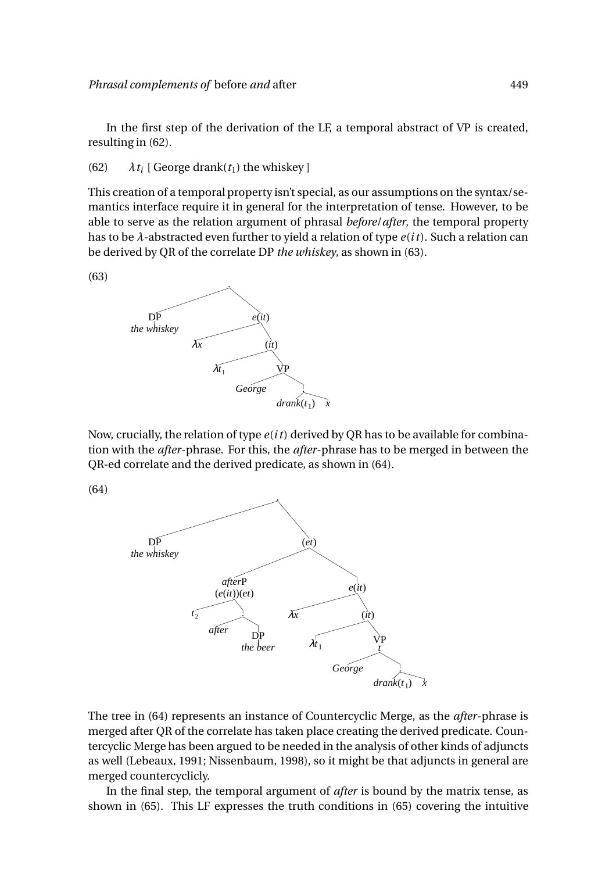In the first step of the derivation of the LF, a temporal abstract of VP is created, resulting in (62).

(62)  $\lambda t_i$  [ George drank( $t_1$ ) the whiskey ]

This creation of a temporal property isn't special, as our assumptions on the syntax/semantics interface require it in general for the interpretation of tense. However, to be able to serve as the relation argument of phrasal *before*/*after*, the temporal property has to be *λ*-abstracted even further to yield a relation of type *e*(*i t*). Such a relation can be derived by QR of the correlate DP *the whiskey*, as shown in (63).





Now, crucially, the relation of type *e*(*i t*) derived by QR has to be available for combination with the *after*-phrase. For this, the *after*-phrase has to be merged in between the QR-ed correlate and the derived predicate, as shown in (64).

(64)



The tree in (64) represents an instance of Countercyclic Merge, as the *after*-phrase is merged after QR of the correlate has taken place creating the derived predicate. Countercyclic Merge has been argued to be needed in the analysis of other kinds of adjuncts as well (Lebeaux, 1991; Nissenbaum, 1998), so it might be that adjuncts in general are merged countercyclicly.

In the final step, the temporal argument of *after* is bound by the matrix tense, as shown in (65). This LF expresses the truth conditions in (65) covering the intuitive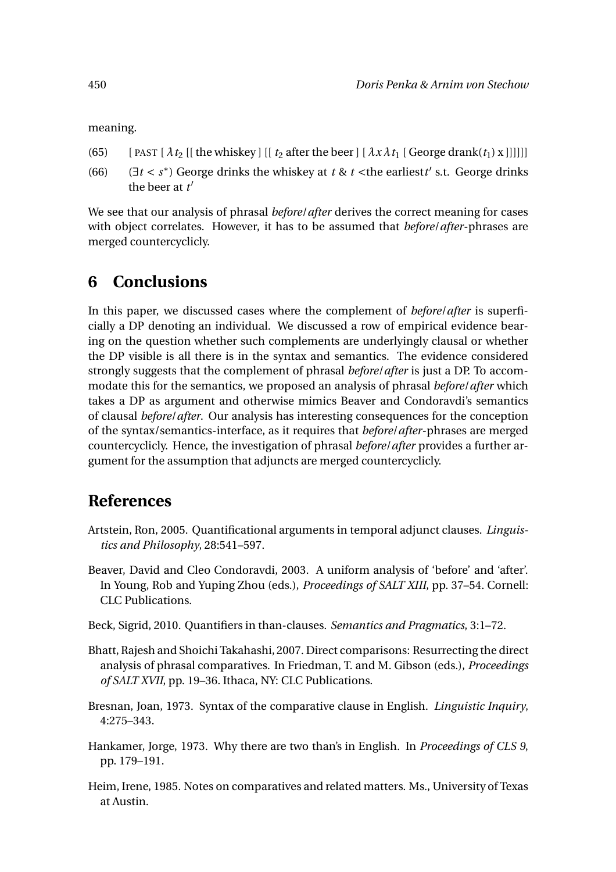meaning.

- (65) [ PAST  $[\lambda t_2]$  [ the whiskey ]  $[[ t_2 \text{ after the beer}] [\lambda x \lambda t_1 ]$  [ George drank $(t_1)$  x ]]]]]]
- (66) ( $\exists t < s^*$ ) George drinks the whiskey at  $t \& t$  < the earliest *t'* s.t. George drinks the beer at *t* ′

We see that our analysis of phrasal *before*/*after* derives the correct meaning for cases with object correlates. However, it has to be assumed that *before*/*after*-phrases are merged countercyclicly.

## **6 Conclusions**

In this paper, we discussed cases where the complement of *before*/*after* is superficially a DP denoting an individual. We discussed a row of empirical evidence bearing on the question whether such complements are underlyingly clausal or whether the DP visible is all there is in the syntax and semantics. The evidence considered strongly suggests that the complement of phrasal *before*/*after* is just a DP. To accommodate this for the semantics, we proposed an analysis of phrasal *before*/*after* which takes a DP as argument and otherwise mimics Beaver and Condoravdi's semantics of clausal *before*/*after*. Our analysis has interesting consequences for the conception of the syntax/semantics-interface, as it requires that *before*/*after*-phrases are merged countercyclicly. Hence, the investigation of phrasal *before*/*after* provides a further argument for the assumption that adjuncts are merged countercyclicly.

## **References**

- Artstein, Ron, 2005. Quantificational arguments in temporal adjunct clauses. *Linguistics and Philosophy*, 28:541–597.
- Beaver, David and Cleo Condoravdi, 2003. A uniform analysis of 'before' and 'after'. In Young, Rob and Yuping Zhou (eds.), *Proceedings of SALT XIII*, pp. 37–54. Cornell: CLC Publications.
- Beck, Sigrid, 2010. Quantifiers in than-clauses. *Semantics and Pragmatics*, 3:1–72.
- Bhatt, Rajesh and Shoichi Takahashi, 2007. Direct comparisons: Resurrecting the direct analysis of phrasal comparatives. In Friedman, T. and M. Gibson (eds.), *Proceedings of SALT XVII*, pp. 19–36. Ithaca, NY: CLC Publications.
- Bresnan, Joan, 1973. Syntax of the comparative clause in English. *Linguistic Inquiry*, 4:275–343.
- Hankamer, Jorge, 1973. Why there are two than's in English. In *Proceedings of CLS 9*, pp. 179–191.
- Heim, Irene, 1985. Notes on comparatives and related matters. Ms., University of Texas at Austin.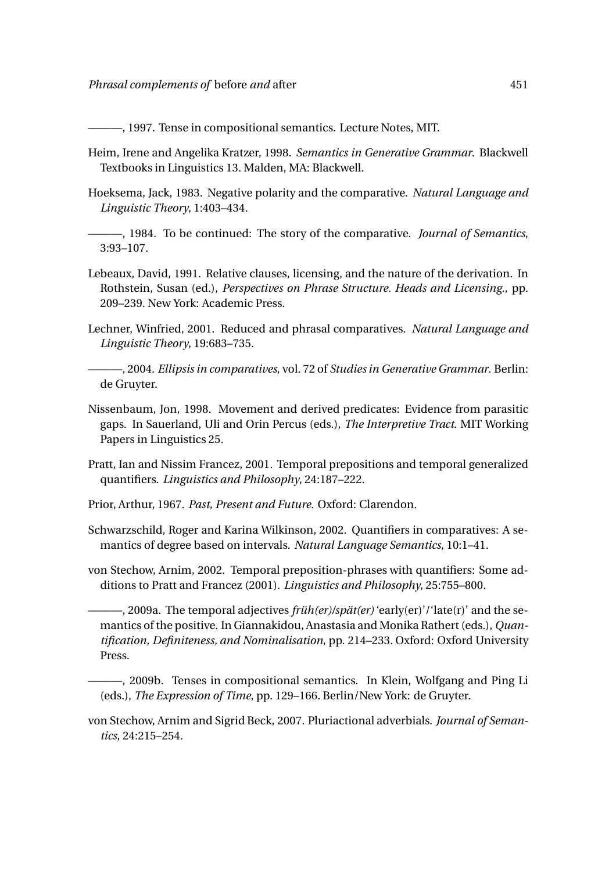———, 1997. Tense in compositional semantics. Lecture Notes, MIT.

- Heim, Irene and Angelika Kratzer, 1998. *Semantics in Generative Grammar*. Blackwell Textbooks in Linguistics 13. Malden, MA: Blackwell.
- Hoeksema, Jack, 1983. Negative polarity and the comparative. *Natural Language and Linguistic Theory*, 1:403–434.
- ———, 1984. To be continued: The story of the comparative. *Journal of Semantics*, 3:93–107.
- Lebeaux, David, 1991. Relative clauses, licensing, and the nature of the derivation. In Rothstein, Susan (ed.), *Perspectives on Phrase Structure. Heads and Licensing.*, pp. 209–239. New York: Academic Press.
- Lechner, Winfried, 2001. Reduced and phrasal comparatives. *Natural Language and Linguistic Theory*, 19:683–735.
	- ———, 2004. *Ellipsis in comparatives*, vol. 72 of *Studies in Generative Grammar*. Berlin: de Gruyter.
- Nissenbaum, Jon, 1998. Movement and derived predicates: Evidence from parasitic gaps. In Sauerland, Uli and Orin Percus (eds.), *The Interpretive Tract*. MIT Working Papers in Linguistics 25.
- Pratt, Ian and Nissim Francez, 2001. Temporal prepositions and temporal generalized quantifiers. *Linguistics and Philosophy*, 24:187–222.
- Prior, Arthur, 1967. *Past, Present and Future*. Oxford: Clarendon.
- Schwarzschild, Roger and Karina Wilkinson, 2002. Quantifiers in comparatives: A semantics of degree based on intervals. *Natural Language Semantics*, 10:1–41.
- von Stechow, Arnim, 2002. Temporal preposition-phrases with quantifiers: Some additions to Pratt and Francez (2001). *Linguistics and Philosophy*, 25:755–800.

———, 2009a. The temporal adjectives *früh(er)/spät(er)* 'early(er)'/'late(r)' and the semantics of the positive. In Giannakidou, Anastasia and Monika Rathert (eds.), *Quantification, Definiteness, and Nominalisation*, pp. 214–233. Oxford: Oxford University Press.

———, 2009b. Tenses in compositional semantics. In Klein, Wolfgang and Ping Li (eds.), *The Expression of Time*, pp. 129–166. Berlin/New York: de Gruyter.

von Stechow, Arnim and Sigrid Beck, 2007. Pluriactional adverbials. *Journal of Semantics*, 24:215–254.